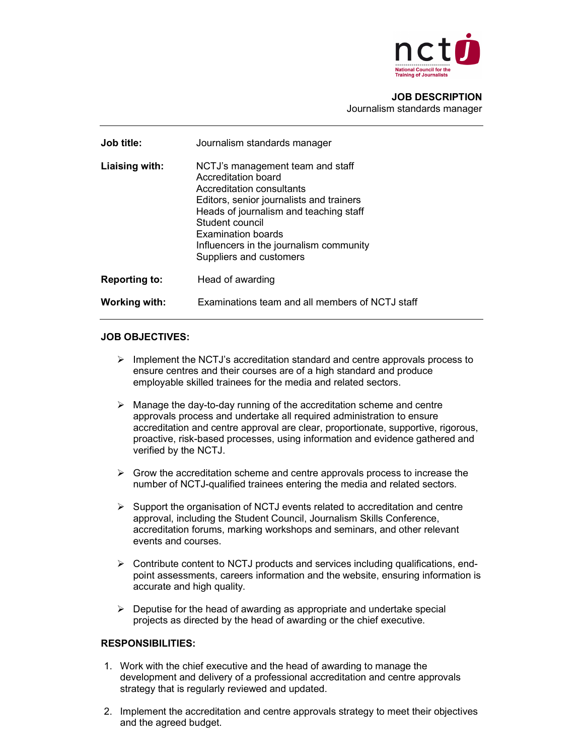

## JOB DESCRIPTION Journalism standards manager

| Job title:           | Journalism standards manager                                                                                                                                                                                                                                                              |
|----------------------|-------------------------------------------------------------------------------------------------------------------------------------------------------------------------------------------------------------------------------------------------------------------------------------------|
| Liaising with:       | NCTJ's management team and staff<br>Accreditation board<br>Accreditation consultants<br>Editors, senior journalists and trainers<br>Heads of journalism and teaching staff<br>Student council<br>Examination boards<br>Influencers in the journalism community<br>Suppliers and customers |
| <b>Reporting to:</b> | Head of awarding                                                                                                                                                                                                                                                                          |
| Working with:        | Examinations team and all members of NCTJ staff                                                                                                                                                                                                                                           |

## JOB OBJECTIVES:

- $\triangleright$  Implement the NCTJ's accreditation standard and centre approvals process to ensure centres and their courses are of a high standard and produce employable skilled trainees for the media and related sectors.
- $\triangleright$  Manage the day-to-day running of the accreditation scheme and centre approvals process and undertake all required administration to ensure accreditation and centre approval are clear, proportionate, supportive, rigorous, proactive, risk-based processes, using information and evidence gathered and verified by the NCTJ.
- $\triangleright$  Grow the accreditation scheme and centre approvals process to increase the number of NCTJ-qualified trainees entering the media and related sectors.
- $\triangleright$  Support the organisation of NCTJ events related to accreditation and centre approval, including the Student Council, Journalism Skills Conference, accreditation forums, marking workshops and seminars, and other relevant events and courses.
- $\triangleright$  Contribute content to NCTJ products and services including qualifications, endpoint assessments, careers information and the website, ensuring information is accurate and high quality.
- $\triangleright$  Deputise for the head of awarding as appropriate and undertake special projects as directed by the head of awarding or the chief executive.

## RESPONSIBILITIES:

- 1. Work with the chief executive and the head of awarding to manage the development and delivery of a professional accreditation and centre approvals strategy that is regularly reviewed and updated.
- 2. Implement the accreditation and centre approvals strategy to meet their objectives and the agreed budget.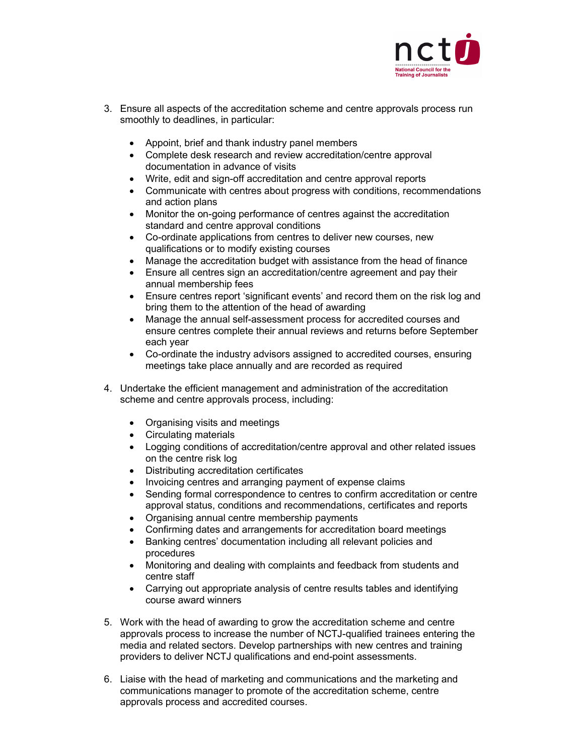

- 3. Ensure all aspects of the accreditation scheme and centre approvals process run smoothly to deadlines, in particular:
	- Appoint, brief and thank industry panel members
	- Complete desk research and review accreditation/centre approval documentation in advance of visits
	- Write, edit and sign-off accreditation and centre approval reports
	- Communicate with centres about progress with conditions, recommendations and action plans
	- Monitor the on-going performance of centres against the accreditation standard and centre approval conditions
	- Co-ordinate applications from centres to deliver new courses, new qualifications or to modify existing courses
	- Manage the accreditation budget with assistance from the head of finance
	- Ensure all centres sign an accreditation/centre agreement and pay their annual membership fees
	- Ensure centres report 'significant events' and record them on the risk log and bring them to the attention of the head of awarding
	- Manage the annual self-assessment process for accredited courses and ensure centres complete their annual reviews and returns before September each year
	- Co-ordinate the industry advisors assigned to accredited courses, ensuring meetings take place annually and are recorded as required
- 4. Undertake the efficient management and administration of the accreditation scheme and centre approvals process, including:
	- Organising visits and meetings
	- Circulating materials
	- Logging conditions of accreditation/centre approval and other related issues on the centre risk log
	- Distributing accreditation certificates
	- Invoicing centres and arranging payment of expense claims
	- Sending formal correspondence to centres to confirm accreditation or centre approval status, conditions and recommendations, certificates and reports
	- Organising annual centre membership payments
	- Confirming dates and arrangements for accreditation board meetings
	- Banking centres' documentation including all relevant policies and procedures
	- Monitoring and dealing with complaints and feedback from students and centre staff
	- Carrying out appropriate analysis of centre results tables and identifying course award winners
- 5. Work with the head of awarding to grow the accreditation scheme and centre approvals process to increase the number of NCTJ-qualified trainees entering the media and related sectors. Develop partnerships with new centres and training providers to deliver NCTJ qualifications and end-point assessments.
- 6. Liaise with the head of marketing and communications and the marketing and communications manager to promote of the accreditation scheme, centre approvals process and accredited courses.